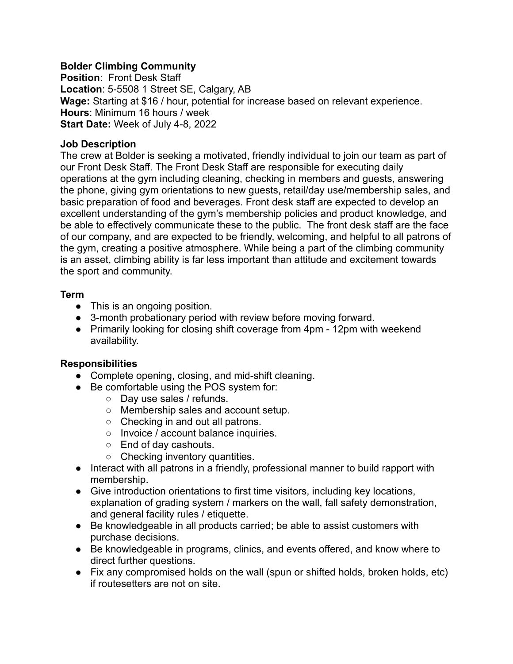## **Bolder Climbing Community**

**Position**: Front Desk Staff **Location**: 5-5508 1 Street SE, Calgary, AB **Wage:** Starting at \$16 / hour, potential for increase based on relevant experience. **Hours**: Minimum 16 hours / week **Start Date:** Week of July 4-8, 2022

## **Job Description**

The crew at Bolder is seeking a motivated, friendly individual to join our team as part of our Front Desk Staff. The Front Desk Staff are responsible for executing daily operations at the gym including cleaning, checking in members and guests, answering the phone, giving gym orientations to new guests, retail/day use/membership sales, and basic preparation of food and beverages. Front desk staff are expected to develop an excellent understanding of the gym's membership policies and product knowledge, and be able to effectively communicate these to the public. The front desk staff are the face of our company, and are expected to be friendly, welcoming, and helpful to all patrons of the gym, creating a positive atmosphere. While being a part of the climbing community is an asset, climbing ability is far less important than attitude and excitement towards the sport and community.

## **Term**

- This is an ongoing position.
- 3-month probationary period with review before moving forward.
- Primarily looking for closing shift coverage from 4pm 12pm with weekend availability.

# **Responsibilities**

- Complete opening, closing, and mid-shift cleaning.
- Be comfortable using the POS system for:
	- Day use sales / refunds.
	- Membership sales and account setup.
	- Checking in and out all patrons.
	- Invoice / account balance inquiries.
	- End of day cashouts.
	- Checking inventory quantities.
- Interact with all patrons in a friendly, professional manner to build rapport with membership.
- Give introduction orientations to first time visitors, including key locations, explanation of grading system / markers on the wall, fall safety demonstration, and general facility rules / etiquette.
- Be knowledgeable in all products carried; be able to assist customers with purchase decisions.
- Be knowledgeable in programs, clinics, and events offered, and know where to direct further questions.
- Fix any compromised holds on the wall (spun or shifted holds, broken holds, etc) if routesetters are not on site.